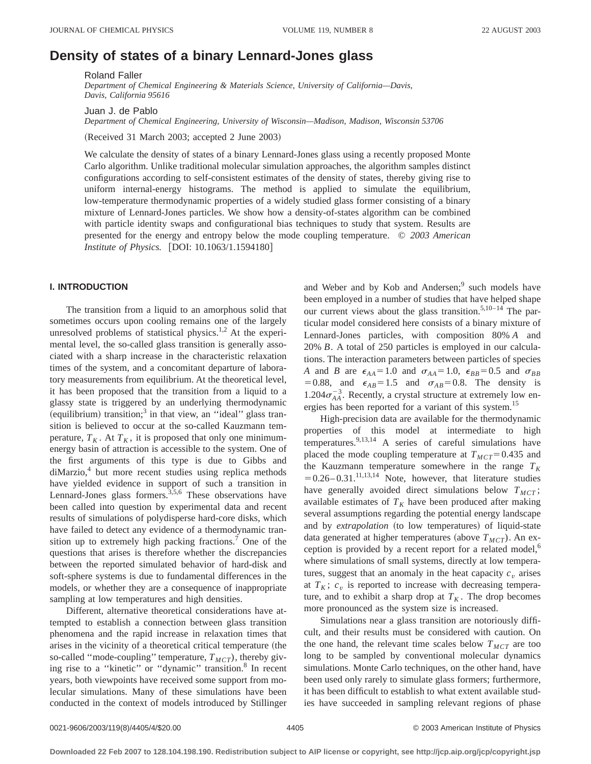# **Density of states of a binary Lennard-Jones glass**

Roland Faller

*Department of Chemical Engineering & Materials Science, University of California—Davis, Davis, California 95616*

Juan J. de Pablo

*Department of Chemical Engineering, University of Wisconsin—Madison, Madison, Wisconsin 53706*

(Received 31 March 2003; accepted 2 June 2003)

We calculate the density of states of a binary Lennard-Jones glass using a recently proposed Monte Carlo algorithm. Unlike traditional molecular simulation approaches, the algorithm samples distinct configurations according to self-consistent estimates of the density of states, thereby giving rise to uniform internal-energy histograms. The method is applied to simulate the equilibrium, low-temperature thermodynamic properties of a widely studied glass former consisting of a binary mixture of Lennard-Jones particles. We show how a density-of-states algorithm can be combined with particle identity swaps and configurational bias techniques to study that system. Results are presented for the energy and entropy below the mode coupling temperature. © *2003 American Institute of Physics.* [DOI: 10.1063/1.1594180]

### **I. INTRODUCTION**

The transition from a liquid to an amorphous solid that sometimes occurs upon cooling remains one of the largely unresolved problems of statistical physics.<sup>1,2</sup> At the experimental level, the so-called glass transition is generally associated with a sharp increase in the characteristic relaxation times of the system, and a concomitant departure of laboratory measurements from equilibrium. At the theoretical level, it has been proposed that the transition from a liquid to a glassy state is triggered by an underlying thermodynamic (equilibrium) transition;<sup>3</sup> in that view, an "ideal" glass transition is believed to occur at the so-called Kauzmann temperature,  $T_K$ . At  $T_K$ , it is proposed that only one minimumenergy basin of attraction is accessible to the system. One of the first arguments of this type is due to Gibbs and  $di$ Marzio, $4$  but more recent studies using replica methods have yielded evidence in support of such a transition in Lennard-Jones glass formers.<sup>3,5,6</sup> These observations have been called into question by experimental data and recent results of simulations of polydisperse hard-core disks, which have failed to detect any evidence of a thermodynamic transition up to extremely high packing fractions.<sup>7</sup> One of the questions that arises is therefore whether the discrepancies between the reported simulated behavior of hard-disk and soft-sphere systems is due to fundamental differences in the models, or whether they are a consequence of inappropriate sampling at low temperatures and high densities.

Different, alternative theoretical considerations have attempted to establish a connection between glass transition phenomena and the rapid increase in relaxation times that arises in the vicinity of a theoretical critical temperature (the so-called "mode-coupling" temperature,  $T_{MCT}$ ), thereby giving rise to a "kinetic" or "dynamic" transition.<sup>8</sup> In recent years, both viewpoints have received some support from molecular simulations. Many of these simulations have been conducted in the context of models introduced by Stillinger and Weber and by Kob and Andersen;<sup>9</sup> such models have been employed in a number of studies that have helped shape our current views about the glass transition.<sup>5,10–14</sup> The particular model considered here consists of a binary mixture of Lennard-Jones particles, with composition 80% *A* and 20% *B*. A total of 250 particles is employed in our calculations. The interaction parameters between particles of species *A* and *B* are  $\epsilon_{AA} = 1.0$  and  $\sigma_{AA} = 1.0$ ,  $\epsilon_{BB} = 0.5$  and  $\sigma_{BB}$ = 0.88, and  $\epsilon_{AB}$ = 1.5 and  $\sigma_{AB}$ = 0.8. The density is 1.204 $\sigma_{AA}^{-3}$ . Recently, a crystal structure at extremely low energies has been reported for a variant of this system.<sup>15</sup>

High-precision data are available for the thermodynamic properties of this model at intermediate to high temperatures.<sup>9,13,14</sup> A series of careful simulations have placed the mode coupling temperature at  $T_{MCT}$ =0.435 and the Kauzmann temperature somewhere in the range  $T_K$  $= 0.26 - 0.31$ .<sup>11,13,14</sup> Note, however, that literature studies have generally avoided direct simulations below  $T_{MCT}$ ; available estimates of  $T_K$  have been produced after making several assumptions regarding the potential energy landscape and by *extrapolation* (to low temperatures) of liquid-state data generated at higher temperatures (above  $T_{MCT}$ ). An exception is provided by a recent report for a related model,<sup>6</sup> where simulations of small systems, directly at low temperatures, suggest that an anomaly in the heat capacity  $c<sub>v</sub>$  arises at  $T_K$ ;  $c_v$  is reported to increase with decreasing temperature, and to exhibit a sharp drop at  $T_K$ . The drop becomes more pronounced as the system size is increased.

Simulations near a glass transition are notoriously difficult, and their results must be considered with caution. On the one hand, the relevant time scales below  $T_{MCT}$  are too long to be sampled by conventional molecular dynamics simulations. Monte Carlo techniques, on the other hand, have been used only rarely to simulate glass formers; furthermore, it has been difficult to establish to what extent available studies have succeeded in sampling relevant regions of phase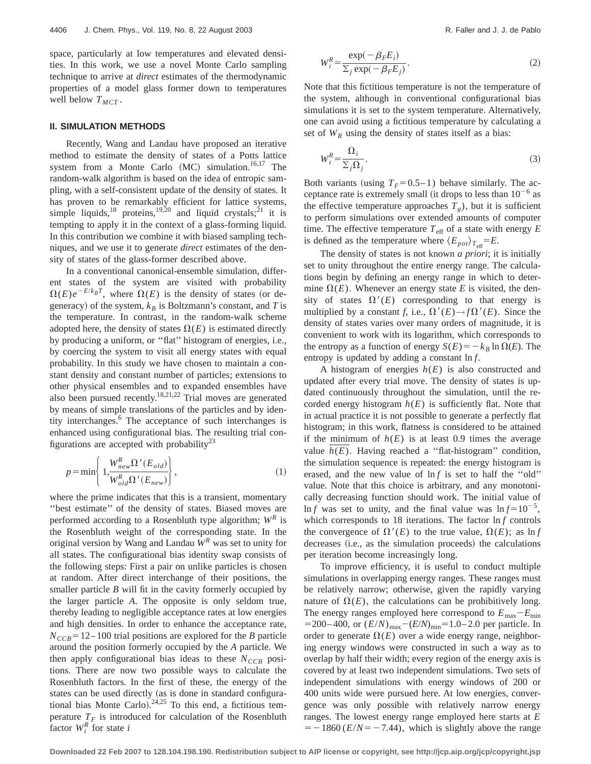space, particularly at low temperatures and elevated densities. In this work, we use a novel Monte Carlo sampling technique to arrive at *direct* estimates of the thermodynamic properties of a model glass former down to temperatures well below  $T_{MCT}$ .

#### **II. SIMULATION METHODS**

Recently, Wang and Landau have proposed an iterative method to estimate the density of states of a Potts lattice system from a Monte Carlo  $(MC)$  simulation.<sup>16,17</sup> The random-walk algorithm is based on the idea of entropic sampling, with a self-consistent update of the density of states. It has proven to be remarkably efficient for lattice systems, simple liquids,<sup>18</sup> proteins,<sup>19,20</sup> and liquid crystals;<sup>21</sup> it is tempting to apply it in the context of a glass-forming liquid. In this contribution we combine it with biased sampling techniques, and we use it to generate *direct* estimates of the density of states of the glass-former described above.

In a conventional canonical-ensemble simulation, different states of the system are visited with probability  $\Omega(E)e^{-E/k_BT}$ , where  $\Omega(E)$  is the density of states (or degeneracy) of the system,  $k_B$  is Boltzmann's constant, and *T* is the temperature. In contrast, in the random-walk scheme adopted here, the density of states  $\Omega(E)$  is estimated directly by producing a uniform, or ''flat'' histogram of energies, i.e., by coercing the system to visit all energy states with equal probability. In this study we have chosen to maintain a constant density and constant number of particles; extensions to other physical ensembles and to expanded ensembles have also been pursued recently.<sup>18,21,22</sup> Trial moves are generated by means of simple translations of the particles and by identity interchanges.6 The acceptance of such interchanges is enhanced using configurational bias. The resulting trial configurations are accepted with probability<sup>23</sup>

$$
p = \min\left\{1, \frac{W_{new}^{R} \Omega'(E_{old})}{W_{old}^{R} \Omega'(E_{new})}\right\},
$$
\n<sup>(1)</sup>

where the prime indicates that this is a transient, momentary ''best estimate'' of the density of states. Biased moves are performed according to a Rosenbluth type algorithm;  $W^R$  is the Rosenbluth weight of the corresponding state. In the original version by Wang and Landau *W<sup>R</sup>* was set to unity for all states. The configurational bias identity swap consists of the following steps: First a pair on unlike particles is chosen at random. After direct interchange of their positions, the smaller particle *B* will fit in the cavity formerly occupied by the larger particle *A*. The opposite is only seldom true, thereby leading to negligible acceptance rates at low energies and high densities. In order to enhance the acceptance rate,  $N_{CCR} = 12-100$  trial positions are explored for the *B* particle around the position formerly occupied by the *A* particle. We then apply configurational bias ideas to these  $N_{CCB}$  positions. There are now two possible ways to calculate the Rosenbluth factors. In the first of these, the energy of the states can be used directly (as is done in standard configurational bias Monte Carlo).<sup>24,25</sup> To this end, a fictitious temperature  $T_F$  is introduced for calculation of the Rosenbluth  $\int_{i}^{R}$  for state *i* 

$$
W_i^R = \frac{\exp(-\beta_F E_i)}{\sum_j \exp(-\beta_F E_j)}.
$$
 (2)

Note that this fictitious temperature is not the temperature of the system, although in conventional configurational bias simulations it is set to the system temperature. Alternatively, one can avoid using a fictitious temperature by calculating a set of  $W_R$  using the density of states itself as a bias:

$$
W_i^R = \frac{\Omega_i}{\Sigma_j \Omega_j}.
$$
\n<sup>(3)</sup>

Both variants (using  $T_F=0.5-1$ ) behave similarly. The acceptance rate is extremely small (it drops to less than  $10^{-6}$  as the effective temperature approaches  $T<sub>g</sub>$ ), but it is sufficient to perform simulations over extended amounts of computer time. The effective temperature  $T_{\text{eff}}$  of a state with energy  $E$ is defined as the temperature where  $\langle E_{pot} \rangle_{T_{\text{eff}}} = E$ .

The density of states is not known *a priori*; it is initially set to unity throughout the entire energy range. The calculations begin by defining an energy range in which to determine  $\Omega(E)$ . Whenever an energy state *E* is visited, the density of states  $\Omega'(E)$  corresponding to that energy is multiplied by a constant *f*, i.e.,  $\Omega'(E) \rightarrow f \Omega'(E)$ . Since the density of states varies over many orders of magnitude, it is convenient to work with its logarithm, which corresponds to the entropy as a function of energy  $S(E) = -k_B \ln \Omega(E)$ . The entropy is updated by adding a constant ln *f*.

A histogram of energies *h*(*E*) is also constructed and updated after every trial move. The density of states is updated continuously throughout the simulation, until the recorded energy histogram  $h(E)$  is sufficiently flat. Note that in actual practice it is not possible to generate a perfectly flat histogram; in this work, flatness is considered to be attained if the minimum of  $h(E)$  is at least 0.9 times the average value  $h(E)$ . Having reached a "flat-histogram" condition, the simulation sequence is repeated: the energy histogram is erased, and the new value of ln *f* is set to half the ''old'' value. Note that this choice is arbitrary, and any monotonically decreasing function should work. The initial value of ln *f* was set to unity, and the final value was  $\ln f = 10^{-5}$ , which corresponds to 18 iterations. The factor  $\ln f$  controls the convergence of  $\Omega'(E)$  to the true value,  $\Omega(E)$ ; as ln *f* decreases (i.e., as the simulation proceeds) the calculations per iteration become increasingly long.

To improve efficiency, it is useful to conduct multiple simulations in overlapping energy ranges. These ranges must be relatively narrow; otherwise, given the rapidly varying nature of  $\Omega(E)$ , the calculations can be prohibitively long. The energy ranges employed here correspond to  $E_{\text{max}}-E_{\text{min}}$  $=200-400$ , or  $(E/N)_{max}-(E/N)_{min}=1.0-2.0$  per particle. In order to generate  $\Omega(E)$  over a wide energy range, neighboring energy windows were constructed in such a way as to overlap by half their width; every region of the energy axis is covered by at least two independent simulations. Two sets of independent simulations with energy windows of 200 or 400 units wide were pursued here. At low energies, convergence was only possible with relatively narrow energy ranges. The lowest energy range employed here starts at *E*  $=$  -1860 ( $E/N$ = -7.44), which is slightly above the range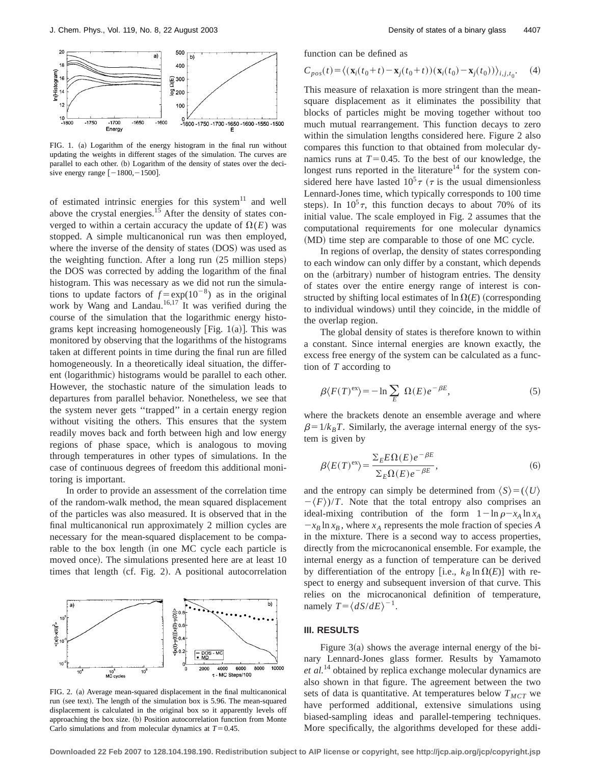

FIG. 1. (a) Logarithm of the energy histogram in the final run without updating the weights in different stages of the simulation. The curves are parallel to each other. (b) Logarithm of the density of states over the decisive energy range  $[-1800, -1500]$ .

of estimated intrinsic energies for this system $11$  and well above the crystal energies.<sup>15</sup> After the density of states converged to within a certain accuracy the update of  $\Omega(E)$  was stopped. A simple multicanonical run was then employed, where the inverse of the density of states (DOS) was used as the weighting function. After a long run  $(25 \text{ million steps})$ the DOS was corrected by adding the logarithm of the final histogram. This was necessary as we did not run the simulations to update factors of  $f = \exp(10^{-8})$  as in the original work by Wang and Landau.<sup>16,17</sup> It was verified during the course of the simulation that the logarithmic energy histograms kept increasing homogeneously [Fig.  $1(a)$ ]. This was monitored by observing that the logarithms of the histograms taken at different points in time during the final run are filled homogeneously. In a theoretically ideal situation, the different (logarithmic) histograms would be parallel to each other. However, the stochastic nature of the simulation leads to departures from parallel behavior. Nonetheless, we see that the system never gets ''trapped'' in a certain energy region without visiting the others. This ensures that the system readily moves back and forth between high and low energy regions of phase space, which is analogous to moving through temperatures in other types of simulations. In the case of continuous degrees of freedom this additional monitoring is important.

In order to provide an assessment of the correlation time of the random-walk method, the mean squared displacement of the particles was also measured. It is observed that in the final multicanonical run approximately 2 million cycles are necessary for the mean-squared displacement to be comparable to the box length (in one MC cycle each particle is moved once). The simulations presented here are at least 10 times that length  $(cf. Fig. 2)$ . A positional autocorrelation



FIG. 2. (a) Average mean-squared displacement in the final multicanonical run (see text). The length of the simulation box is 5.96. The mean-squared displacement is calculated in the original box so it apparently levels off approaching the box size. (b) Position autocorrelation function from Monte Carlo simulations and from molecular dynamics at  $T=0.45$ .

function can be defined as

$$
C_{pos}(t) = \langle (\mathbf{x}_i(t_0+t) - \mathbf{x}_j(t_0+t))(\mathbf{x}_i(t_0) - \mathbf{x}_j(t_0)) \rangle_{i,j,t_0}.
$$
 (4)

This measure of relaxation is more stringent than the meansquare displacement as it eliminates the possibility that blocks of particles might be moving together without too much mutual rearrangement. This function decays to zero within the simulation lengths considered here. Figure 2 also compares this function to that obtained from molecular dynamics runs at  $T=0.45$ . To the best of our knowledge, the longest runs reported in the literature<sup>14</sup> for the system considered here have lasted  $10^5 \tau$  ( $\tau$  is the usual dimensionless Lennard-Jones time, which typically corresponds to 100 time steps). In  $10^5 \tau$ , this function decays to about 70% of its initial value. The scale employed in Fig. 2 assumes that the computational requirements for one molecular dynamics (MD) time step are comparable to those of one MC cycle.

In regions of overlap, the density of states corresponding to each window can only differ by a constant, which depends on the (arbitrary) number of histogram entries. The density of states over the entire energy range of interest is constructed by shifting local estimates of  $\ln \Omega(E)$  (corresponding to individual windows) until they coincide, in the middle of the overlap region.

The global density of states is therefore known to within a constant. Since internal energies are known exactly, the excess free energy of the system can be calculated as a function of *T* according to

$$
\beta \langle F(T)^{\text{ex}} \rangle = -\ln \sum_{E} \Omega(E) e^{-\beta E}, \tag{5}
$$

where the brackets denote an ensemble average and where  $\beta=1/k_BT$ . Similarly, the average internal energy of the system is given by

$$
\beta \langle E(T)^{\text{ex}} \rangle = \frac{\Sigma_E E \Omega(E) e^{-\beta E}}{\Sigma_E \Omega(E) e^{-\beta E}},\tag{6}
$$

and the entropy can simply be determined from  $\langle S \rangle = (\langle U \rangle)$  $-\langle F \rangle$ /*T*. Note that the total entropy also comprises an ideal-mixing contribution of the form  $1-\ln \rho - x_A \ln x_A$  $-x_B \ln x_B$ , where  $x_A$  represents the mole fraction of species *A* in the mixture. There is a second way to access properties, directly from the microcanonical ensemble. For example, the internal energy as a function of temperature can be derived by differentiation of the entropy [i.e.,  $k_B \ln \Omega(E)$ ] with respect to energy and subsequent inversion of that curve. This relies on the microcanonical definition of temperature, namely  $T = \langle dS/dE \rangle^{-1}$ .

#### **III. RESULTS**

Figure  $3(a)$  shows the average internal energy of the binary Lennard-Jones glass former. Results by Yamamoto *et al.*<sup>14</sup> obtained by replica exchange molecular dynamics are also shown in that figure. The agreement between the two sets of data is quantitative. At temperatures below  $T_{MCT}$  we have performed additional, extensive simulations using biased-sampling ideas and parallel-tempering techniques. More specifically, the algorithms developed for these addi-

**Downloaded 22 Feb 2007 to 128.104.198.190. Redistribution subject to AIP license or copyright, see http://jcp.aip.org/jcp/copyright.jsp**